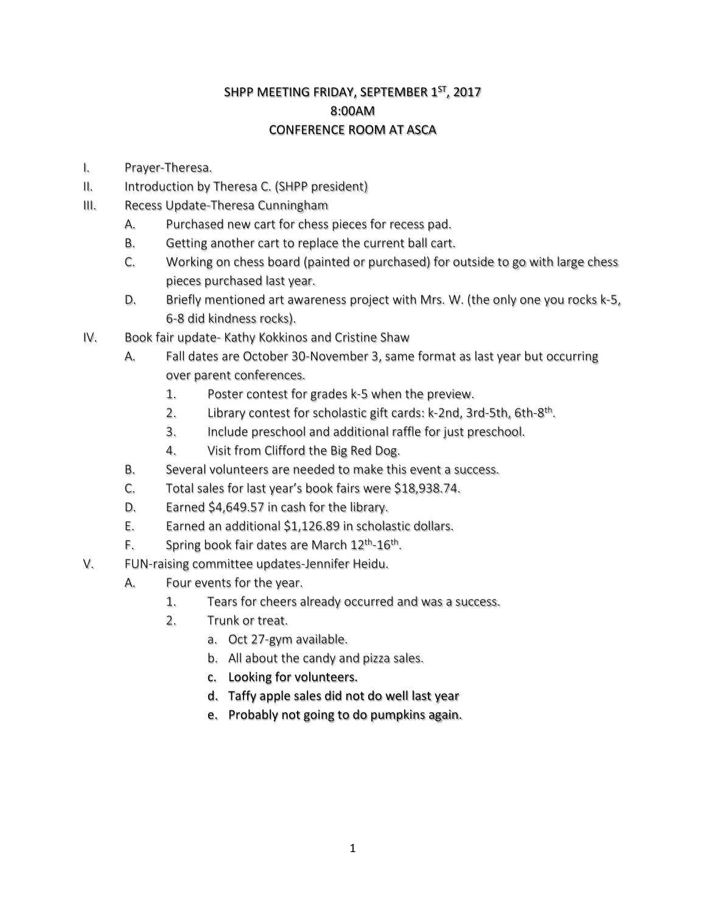## SHPP MEETING FRIDAY, SEPTEMBER 1<sup>ST</sup>, 2017 8:00AM CONFERENCE ROOM AT ASCA

- I. Prayer-Theresa.
- II. Introduction by Theresa C. (SHPP president)
- III. Recess Update-Theresa Cunningham
	- A. Purchased new cart for chess pieces for recess pad.
	- B. Getting another cart to replace the current ball cart.
	- C. Working on chess board (painted or purchased) for outside to go with large chess pieces purchased last year.
	- D. Briefly mentioned art awareness project with Mrs. W. (the only one you rocks k-5, 6-8 did kindness rocks).
- IV. Book fair update- Kathy Kokkinos and Cristine Shaw
	- A. Fall dates are October 30-November 3, same format as last year but occurring over parent conferences.
		- 1. Poster contest for grades k-5 when the preview.
		- 2. Library contest for scholastic gift cards: k-2nd, 3rd-5th, 6th-8<sup>th</sup>.
		- 3. Include preschool and additional raffle for just preschool.
		- 4. Visit from Clifford the Big Red Dog.
	- B. Several volunteers are needed to make this event a success.
	- C. Total sales for last year's book fairs were \$18,938.74.
	- D. Earned \$4,649.57 in cash for the library.
	- E. Earned an additional \$1,126.89 in scholastic dollars.
	- F. Spring book fair dates are March  $12^{th}$ - $16^{th}$ .
- V. FUN-raising committee updates-Jennifer Heidu.
	- A. Four events for the year.
		- 1. Tears for cheers already occurred and was a success.
		- 2. Trunk or treat.
			- a. Oct 27-gym available.
			- b. All about the candy and pizza sales.
			- c. Looking for volunteers.
			- d. Taffy apple sales did not do well last year
			- e. Probably not going to do pumpkins again.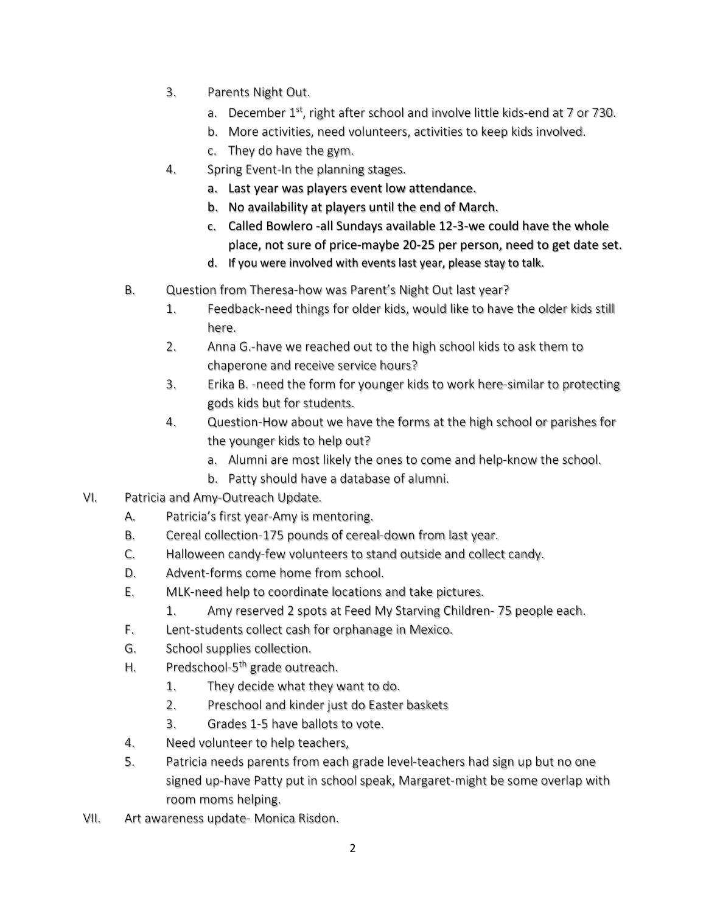- 3. Parents Night Out.
	- a. December  $1^{st}$ , right after school and involve little kids-end at 7 or 730.
	- b. More activities, need volunteers, activities to keep kids involved.
	- c. They do have the gym.
- 4. Spring Event-In the planning stages.
	- a. Last year was players event low attendance.
	- b. No availability at players until the end of March.
	- c. Called Bowlero -all Sundays available 12-3-we could have the whole place, not sure of price-maybe 20-25 per person, need to get date set.
	- d. If you were involved with events last year, please stay to talk.
- B. Question from Theresa-how was Parent's Night Out last year?
	- 1. Feedback-need things for older kids, would like to have the older kids still here.
	- 2. Anna G.-have we reached out to the high school kids to ask them to chaperone and receive service hours?
	- 3. Erika B. -need the form for younger kids to work here-similar to protecting gods kids but for students.
	- 4. Question-How about we have the forms at the high school or parishes for the younger kids to help out?
		- a. Alumni are most likely the ones to come and help-know the school.
		- b. Patty should have a database of alumni.
- VI. Patricia and Amy-Outreach Update.
	- A. Patricia's first year-Amy is mentoring.
	- B. Cereal collection-175 pounds of cereal-down from last year.
	- C. Halloween candy-few volunteers to stand outside and collect candy.
	- D. Advent-forms come home from school.
	- E. MLK-need help to coordinate locations and take pictures.
		- 1. Amy reserved 2 spots at Feed My Starving Children- 75 people each.
	- F. Lent-students collect cash for orphanage in Mexico.
	- G. School supplies collection.
	- H. Predschool-5<sup>th</sup> grade outreach.
		- 1. They decide what they want to do.
		- 2. Preschool and kinder just do Easter baskets
		- 3. Grades 1-5 have ballots to vote.
	- 4. Need volunteer to help teachers,
	- 5. Patricia needs parents from each grade level-teachers had sign up but no one signed up-have Patty put in school speak, Margaret-might be some overlap with room moms helping.
- VII. Art awareness update- Monica Risdon.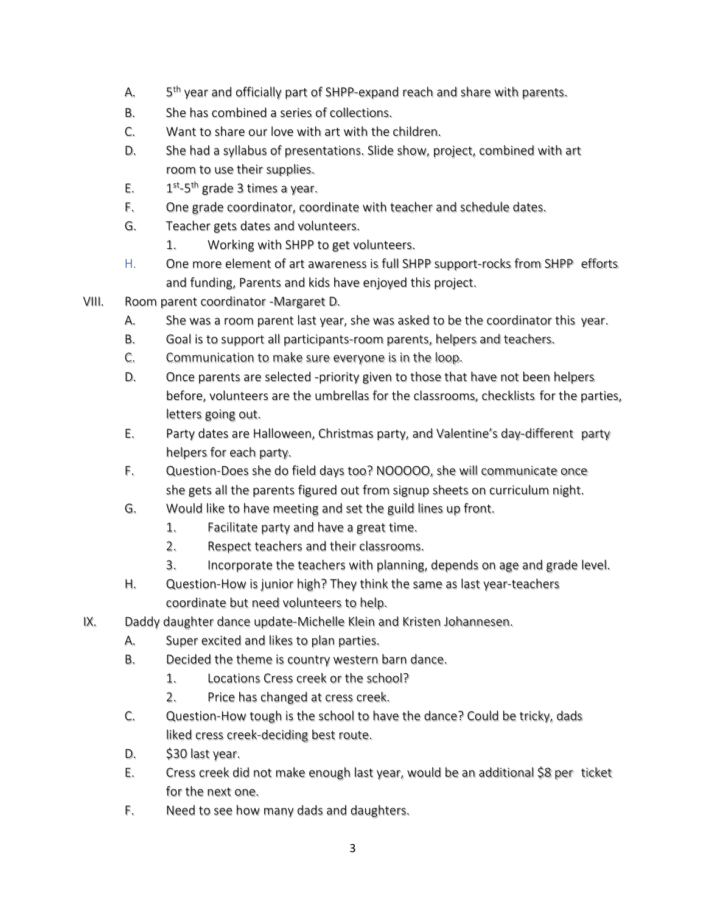- A.  $5<sup>th</sup>$  year and officially part of SHPP-expand reach and share with parents.
- B. She has combined a series of collections.
- C. Want to share our love with art with the children.
- D. She had a syllabus of presentations. Slide show, project, combined with art room to use their supplies.
- E.  $1^{st}$ -5<sup>th</sup> grade 3 times a year.
- F. One grade coordinator, coordinate with teacher and schedule dates.
- G. Teacher gets dates and volunteers.
	- 1. Working with SHPP to get volunteers.
- H. One more element of art awareness is full SHPP support-rocks from SHPP efforts and funding, Parents and kids have enjoyed this project.
- VIII. Room parent coordinator -Margaret D.
	- A. She was a room parent last year, she was asked to be the coordinator this year.
	- B. Goal is to support all participants-room parents, helpers and teachers.
	- C. Communication to make sure everyone is in the loop.
	- D. Once parents are selected -priority given to those that have not been helpers before, volunteers are the umbrellas for the classrooms, checklists for the parties, letters going out.
	- E. Party dates are Halloween, Christmas party, and Valentine's day-different party helpers for each party.
	- F. Question-Does she do field days too? NOOOOO, she will communicate once she gets all the parents figured out from signup sheets on curriculum night.
	- G. Would like to have meeting and set the guild lines up front.
		- 1. Facilitate party and have a great time.
		- 2. Respect teachers and their classrooms.
		- 3. Incorporate the teachers with planning, depends on age and grade level.
	- H. Question-How is junior high? They think the same as last year-teachers coordinate but need volunteers to help.
- IX. Daddy daughter dance update-Michelle Klein and Kristen Johannesen.
	- A. Super excited and likes to plan parties.
	- B. Decided the theme is country western barn dance.
		- 1. Locations Cress creek or the school?
		- 2. Price has changed at cress creek.
	- C. Question-How tough is the school to have the dance? Could be tricky, dads liked cress creek-deciding best route.
	- D. \$30 last year.
	- E. Cress creek did not make enough last year, would be an additional \$8 per ticket for the next one.
	- F. Need to see how many dads and daughters.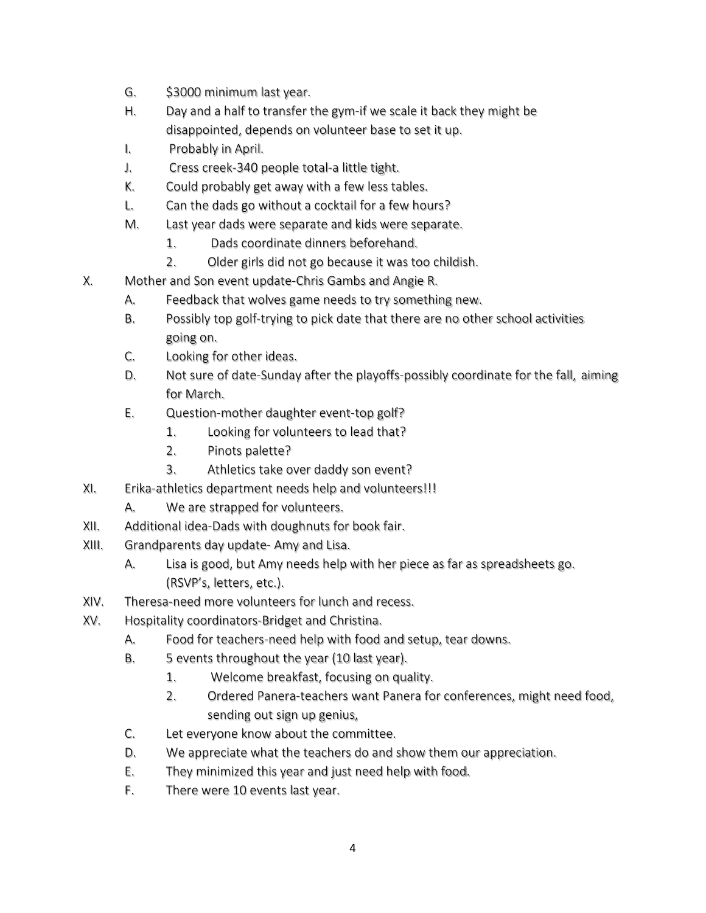- G. \$3000 minimum last year.
- H. Day and a half to transfer the gym-if we scale it back they might be disappointed, depends on volunteer base to set it up.
- I. Probably in April.
- J. Cress creek-340 people total-a little tight.
- K. Could probably get away with a few less tables.
- L. Can the dads go without a cocktail for a few hours?
- M. Last year dads were separate and kids were separate.
	- 1. Dads coordinate dinners beforehand.
	- 2. Older girls did not go because it was too childish.
- X. Mother and Son event update-Chris Gambs and Angie R.
	- A. Feedback that wolves game needs to try something new.
	- B. Possibly top golf-trying to pick date that there are no other school activities going on.
	- C. Looking for other ideas.
	- D. Not sure of date-Sunday after the playoffs-possibly coordinate for the fall, aiming for March.
	- E. Question-mother daughter event-top golf?
		- 1. Looking for volunteers to lead that?
		- 2. Pinots palette?
		- 3. Athletics take over daddy son event?
- XI. Erika-athletics department needs help and volunteers!!!
	- A. We are strapped for volunteers.
- XII. Additional idea-Dads with doughnuts for book fair.
- XIII. Grandparents day update- Amy and Lisa.
	- A. Lisa is good, but Amy needs help with her piece as far as spreadsheets go. (RSVP's, letters, etc.).
- XIV. Theresa-need more volunteers for lunch and recess.
- XV. Hospitality coordinators-Bridget and Christina.
	- A. Food for teachers-need help with food and setup, tear downs.
	- B. 5 events throughout the year (10 last year).
		- 1. Welcome breakfast, focusing on quality.
		- 2. Ordered Panera-teachers want Panera for conferences, might need food, sending out sign up genius,
	- C. Let everyone know about the committee.
	- D. We appreciate what the teachers do and show them our appreciation.
	- E. They minimized this year and just need help with food.
	- F. There were 10 events last year.